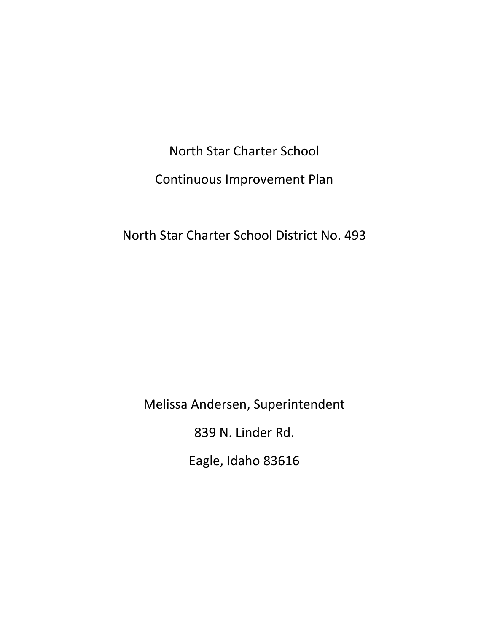North Star Charter School Continuous Improvement Plan

North Star Charter School District No. 493

Melissa Andersen, Superintendent

839 N. Linder Rd.

Eagle, Idaho 83616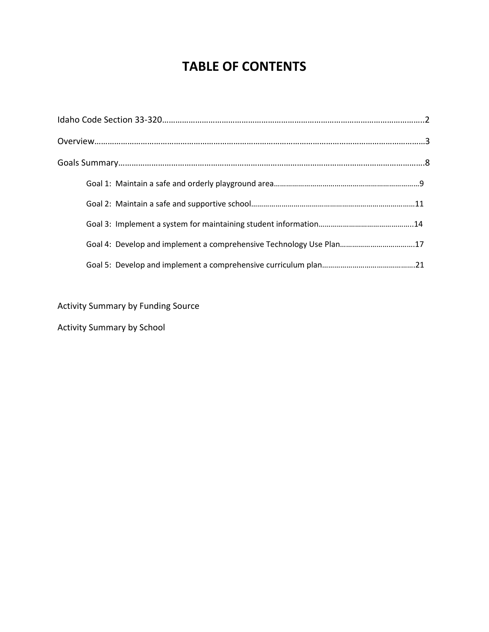# **TABLE OF CONTENTS**

| Goal 4: Develop and implement a comprehensive Technology Use Plan17 |  |
|---------------------------------------------------------------------|--|
|                                                                     |  |

Activity Summary by Funding Source

Activity Summary by School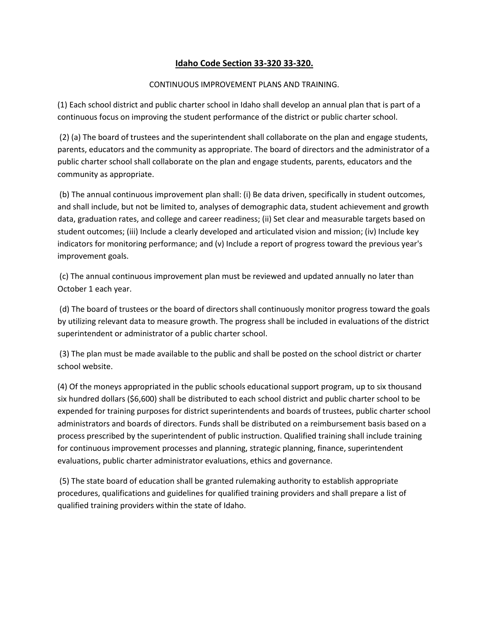## **Idaho Code Section 33-320 33-320.**

#### CONTINUOUS IMPROVEMENT PLANS AND TRAINING.

(1) Each school district and public charter school in Idaho shall develop an annual plan that is part of a continuous focus on improving the student performance of the district or public charter school.

(2) (a) The board of trustees and the superintendent shall collaborate on the plan and engage students, parents, educators and the community as appropriate. The board of directors and the administrator of a public charter school shall collaborate on the plan and engage students, parents, educators and the community as appropriate.

(b) The annual continuous improvement plan shall: (i) Be data driven, specifically in student outcomes, and shall include, but not be limited to, analyses of demographic data, student achievement and growth data, graduation rates, and college and career readiness; (ii) Set clear and measurable targets based on student outcomes; (iii) Include a clearly developed and articulated vision and mission; (iv) Include key indicators for monitoring performance; and (v) Include a report of progress toward the previous year's improvement goals.

(c) The annual continuous improvement plan must be reviewed and updated annually no later than October 1 each year.

(d) The board of trustees or the board of directors shall continuously monitor progress toward the goals by utilizing relevant data to measure growth. The progress shall be included in evaluations of the district superintendent or administrator of a public charter school.

(3) The plan must be made available to the public and shall be posted on the school district or charter school website.

(4) Of the moneys appropriated in the public schools educational support program, up to six thousand six hundred dollars (\$6,600) shall be distributed to each school district and public charter school to be expended for training purposes for district superintendents and boards of trustees, public charter school administrators and boards of directors. Funds shall be distributed on a reimbursement basis based on a process prescribed by the superintendent of public instruction. Qualified training shall include training for continuous improvement processes and planning, strategic planning, finance, superintendent evaluations, public charter administrator evaluations, ethics and governance.

(5) The state board of education shall be granted rulemaking authority to establish appropriate procedures, qualifications and guidelines for qualified training providers and shall prepare a list of qualified training providers within the state of Idaho.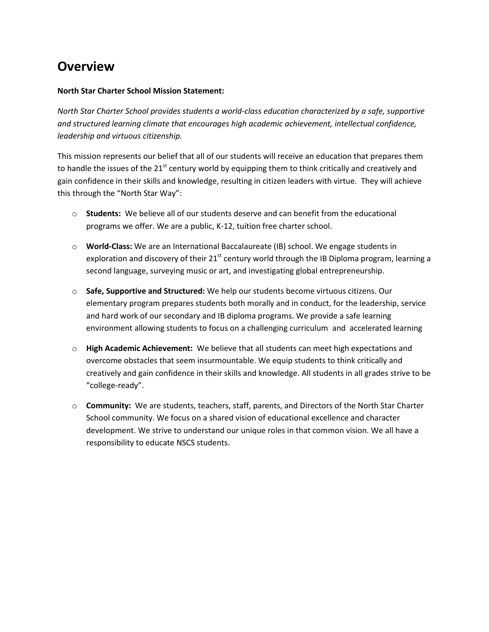## **Overview**

#### **North Star Charter School Mission Statement:**

*North Star Charter School provides students a world-class education characterized by a safe, supportive and structured learning climate that encourages high academic achievement, intellectual confidence, leadership and virtuous citizenship.*

This mission represents our belief that all of our students will receive an education that prepares them to handle the issues of the  $21<sup>st</sup>$  century world by equipping them to think critically and creatively and gain confidence in their skills and knowledge, resulting in citizen leaders with virtue. They will achieve this through the "North Star Way":

- o **Students:** We believe all of our students deserve and can benefit from the educational programs we offer. We are a public, K-12, tuition free charter school.
- o **World-Class:** We are an International Baccalaureate (IB) school. We engage students in exploration and discovery of their  $21^{st}$  century world through the IB Diploma program, learning a second language, surveying music or art, and investigating global entrepreneurship.
- o **Safe, Supportive and Structured:** We help our students become virtuous citizens. Our elementary program prepares students both morally and in conduct, for the leadership, service and hard work of our secondary and IB diploma programs. We provide a safe learning environment allowing students to focus on a challenging curriculum and accelerated learning
- o **High Academic Achievement:** We believe that all students can meet high expectations and overcome obstacles that seem insurmountable. We equip students to think critically and creatively and gain confidence in their skills and knowledge. All students in all grades strive to be "college-ready".
- o **Community:** We are students, teachers, staff, parents, and Directors of the North Star Charter School community. We focus on a shared vision of educational excellence and character development. We strive to understand our unique roles in that common vision. We all have a responsibility to educate NSCS students.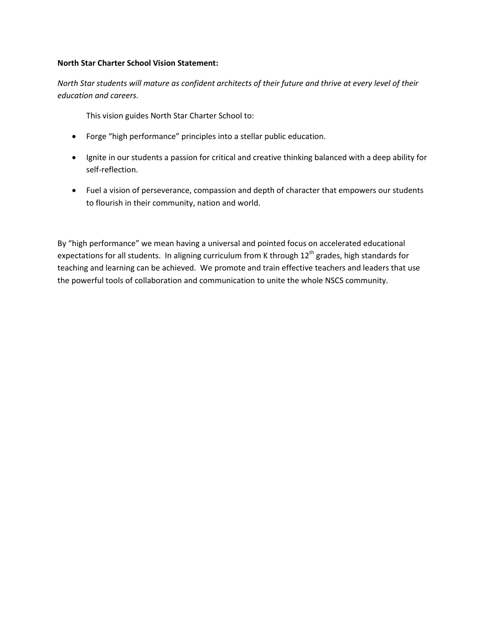#### **North Star Charter School Vision Statement:**

*North Star students will mature as confident architects of their future and thrive at every level of their education and careers.* 

This vision guides North Star Charter School to:

- Forge "high performance" principles into a stellar public education.
- Ignite in our students a passion for critical and creative thinking balanced with a deep ability for self-reflection.
- Fuel a vision of perseverance, compassion and depth of character that empowers our students to flourish in their community, nation and world.

By "high performance" we mean having a universal and pointed focus on accelerated educational expectations for all students. In aligning curriculum from K through  $12<sup>th</sup>$  grades, high standards for teaching and learning can be achieved. We promote and train effective teachers and leaders that use the powerful tools of collaboration and communication to unite the whole NSCS community.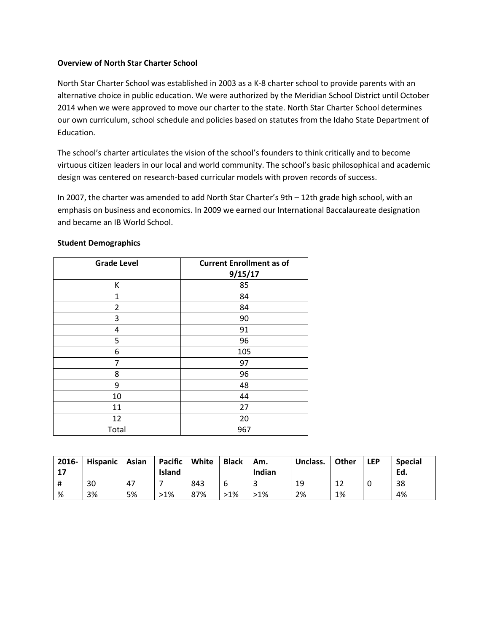#### **Overview of North Star Charter School**

North Star Charter School was established in 2003 as a K-8 charter school to provide parents with an alternative choice in public education. We were authorized by the Meridian School District until October 2014 when we were approved to move our charter to the state. North Star Charter School determines our own curriculum, school schedule and policies based on statutes from the Idaho State Department of Education.

The school's charter articulates the vision of the school's founders to think critically and to become virtuous citizen leaders in our local and world community. The school's basic philosophical and academic design was centered on research-based curricular models with proven records of success.

In 2007, the charter was amended to add North Star Charter's 9th – 12th grade high school, with an emphasis on business and economics. In 2009 we earned our International Baccalaureate designation and became an IB World School.

| <b>Grade Level</b> | <b>Current Enrollment as of</b> |
|--------------------|---------------------------------|
|                    | 9/15/17                         |
| К                  | 85                              |
| 1                  | 84                              |
| $\overline{2}$     | 84                              |
| 3                  | 90                              |
| 4                  | 91                              |
| 5                  | 96                              |
| 6                  | 105                             |
| 7                  | 97                              |
| 8                  | 96                              |
| 9                  | 48                              |
| 10                 | 44                              |
| 11                 | 27                              |
| 12                 | 20                              |
| Total              | 967                             |

#### **Student Demographics**

| 2016-<br>17 | Hispanic   Asian |    | Pacific   White<br><b>Island</b> |     | <b>Black</b> | Am.<br>Indian | Unclass. | Other | <b>LEP</b> | <b>Special</b><br>Ed. |
|-------------|------------------|----|----------------------------------|-----|--------------|---------------|----------|-------|------------|-----------------------|
| #           | 30               | 47 |                                  | 843 | b            |               | 19       | 1 ว   |            | 38                    |
| %           | 3%               | 5% | $>1\%$                           | 87% | $>1\%$       | >1%           | 2%       | 1%    |            | 4%                    |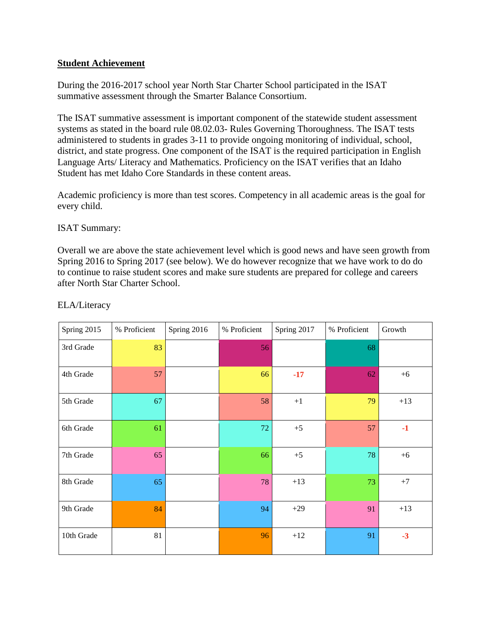## **Student Achievement**

During the 2016-2017 school year North Star Charter School participated in the ISAT summative assessment through the Smarter Balance Consortium.

The ISAT summative assessment is important component of the statewide student assessment systems as stated in the board rule 08.02.03- Rules Governing Thoroughness. The ISAT tests administered to students in grades 3-11 to provide ongoing monitoring of individual, school, district, and state progress. One component of the ISAT is the required participation in English Language Arts/ Literacy and Mathematics. Proficiency on the ISAT verifies that an Idaho Student has met Idaho Core Standards in these content areas.

Academic proficiency is more than test scores. Competency in all academic areas is the goal for every child.

## ISAT Summary:

Overall we are above the state achievement level which is good news and have seen growth from Spring 2016 to Spring 2017 (see below). We do however recognize that we have work to do do to continue to raise student scores and make sure students are prepared for college and careers after North Star Charter School.

| Spring 2015 | % Proficient | Spring 2016 | % Proficient | Spring 2017 | % Proficient | Growth |
|-------------|--------------|-------------|--------------|-------------|--------------|--------|
| 3rd Grade   | 83           |             | 56           |             | 68           |        |
| 4th Grade   | 57           |             | 66           | $-17$       | 62           | $+6$   |
| 5th Grade   | 67           |             | 58           | $+1$        | 79           | $+13$  |
| 6th Grade   | 61           |             | $72\,$       | $+5$        | 57           | $-1$   |
| 7th Grade   | 65           |             | 66           | $+5$        | 78           | $+6$   |
| 8th Grade   | 65           |             | 78           | $+13$       | 73           | $+7$   |
| 9th Grade   | 84           |             | 94           | $+29$       | 91           | $+13$  |
| 10th Grade  | 81           |             | 96           | $+12$       | 91           | $-3$   |

## ELA/Literacy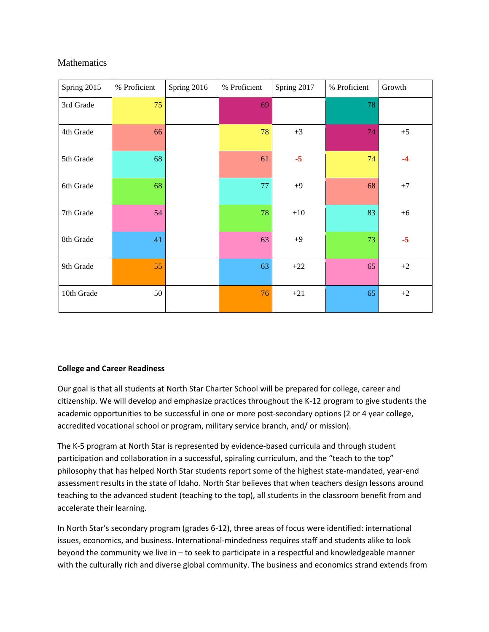## **Mathematics**

| Spring 2015 | % Proficient | Spring 2016 | % Proficient | Spring 2017 | % Proficient | Growth |
|-------------|--------------|-------------|--------------|-------------|--------------|--------|
| 3rd Grade   | 75           |             | 69           |             | 78           |        |
| 4th Grade   | 66           |             | 78           | $+3$        | 74           | $+5$   |
| 5th Grade   | 68           |             | 61           | $-5$        | 74           | $-4$   |
| 6th Grade   | 68           |             | 77           | $+9$        | 68           | $+7$   |
| 7th Grade   | 54           |             | 78           | $+10$       | 83           | $+6$   |
| 8th Grade   | 41           |             | 63           | $+9$        | 73           | $-5$   |
| 9th Grade   | 55           |             | 63           | $+22$       | 65           | $+2$   |
| 10th Grade  | 50           |             | 76           | $+21$       | 65           | $+2$   |

## **College and Career Readiness**

Our goal is that all students at North Star Charter School will be prepared for college, career and citizenship. We will develop and emphasize practices throughout the K-12 program to give students the academic opportunities to be successful in one or more post-secondary options (2 or 4 year college, accredited vocational school or program, military service branch, and/ or mission).

The K-5 program at North Star is represented by evidence-based curricula and through student participation and collaboration in a successful, spiraling curriculum, and the "teach to the top" philosophy that has helped North Star students report some of the highest state-mandated, year-end assessment results in the state of Idaho. North Star believes that when teachers design lessons around teaching to the advanced student (teaching to the top), all students in the classroom benefit from and accelerate their learning.

In North Star's secondary program (grades 6-12), three areas of focus were identified: international issues, economics, and business. International-mindedness requires staff and students alike to look beyond the community we live in – to seek to participate in a respectful and knowledgeable manner with the culturally rich and diverse global community. The business and economics strand extends from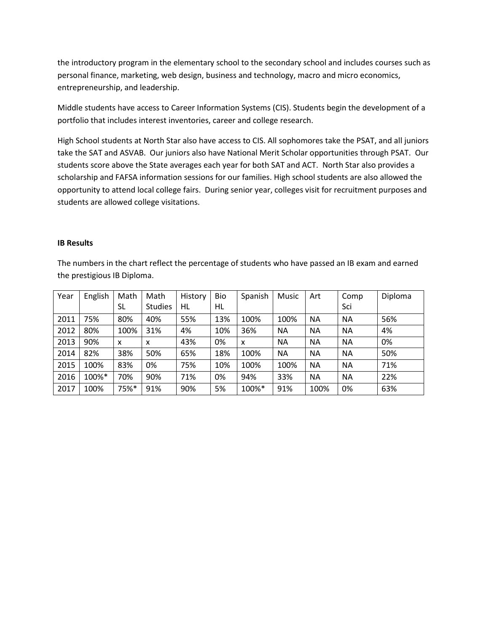the introductory program in the elementary school to the secondary school and includes courses such as personal finance, marketing, web design, business and technology, macro and micro economics, entrepreneurship, and leadership.

Middle students have access to Career Information Systems (CIS). Students begin the development of a portfolio that includes interest inventories, career and college research.

High School students at North Star also have access to CIS. All sophomores take the PSAT, and all juniors take the SAT and ASVAB. Our juniors also have National Merit Scholar opportunities through PSAT. Our students score above the State averages each year for both SAT and ACT. North Star also provides a scholarship and FAFSA information sessions for our families. High school students are also allowed the opportunity to attend local college fairs. During senior year, colleges visit for recruitment purposes and students are allowed college visitations.

#### **IB Results**

The numbers in the chart reflect the percentage of students who have passed an IB exam and earned the prestigious IB Diploma.

| Year | English | Math | Math           | History | Bio | Spanish | Music     | Art       | Comp      | Diploma |
|------|---------|------|----------------|---------|-----|---------|-----------|-----------|-----------|---------|
|      |         | SL   | <b>Studies</b> | HL      | HL  |         |           |           | Sci       |         |
| 2011 | 75%     | 80%  | 40%            | 55%     | 13% | 100%    | 100%      | <b>NA</b> | NА        | 56%     |
| 2012 | 80%     | 100% | 31%            | 4%      | 10% | 36%     | NA        | <b>NA</b> | <b>NA</b> | 4%      |
| 2013 | 90%     | x    | x              | 43%     | 0%  | X       | <b>NA</b> | <b>NA</b> | <b>NA</b> | 0%      |
| 2014 | 82%     | 38%  | 50%            | 65%     | 18% | 100%    | <b>NA</b> | <b>NA</b> | NA        | 50%     |
| 2015 | 100%    | 83%  | 0%             | 75%     | 10% | 100%    | 100%      | <b>NA</b> | <b>NA</b> | 71%     |
| 2016 | 100%*   | 70%  | 90%            | 71%     | 0%  | 94%     | 33%       | <b>NA</b> | <b>NA</b> | 22%     |
| 2017 | 100%    | 75%* | 91%            | 90%     | 5%  | 100%*   | 91%       | 100%      | 0%        | 63%     |